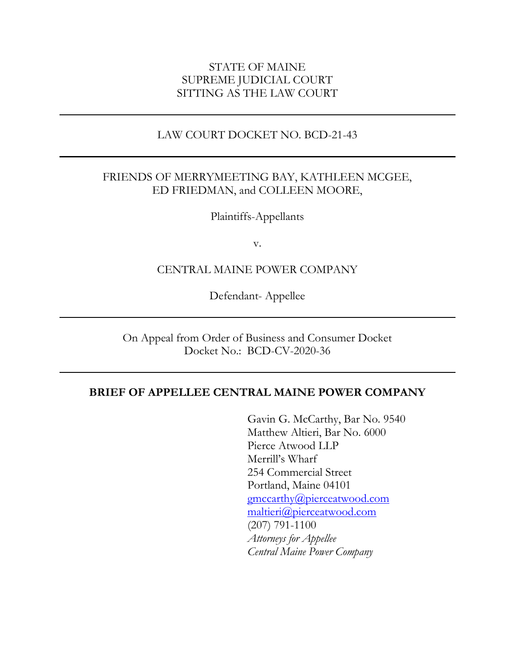## STATE OF MAINE SUPREME JUDICIAL COURT SITTING AS THE LAW COURT

## LAW COURT DOCKET NO. BCD-21-43

## FRIENDS OF MERRYMEETING BAY, KATHLEEN MCGEE, ED FRIEDMAN, and COLLEEN MOORE,

Plaintiffs-Appellants

v.

## CENTRAL MAINE POWER COMPANY

Defendant- Appellee

On Appeal from Order of Business and Consumer Docket Docket No.: BCD-CV-2020-36

#### **BRIEF OF APPELLEE CENTRAL MAINE POWER COMPANY**

Gavin G. McCarthy, Bar No. 9540 Matthew Altieri, Bar No. 6000 Pierce Atwood LLP Merrill's Wharf 254 Commercial Street Portland, Maine 04101 [gmccarthy@pierceatwood.com](mailto:gmccarthy@pierceatwood.com) [maltieri@pierceatwood.com](mailto:maltieri@pierceatwood.com) (207) 791-1100 *Attorneys for Appellee Central Maine Power Company*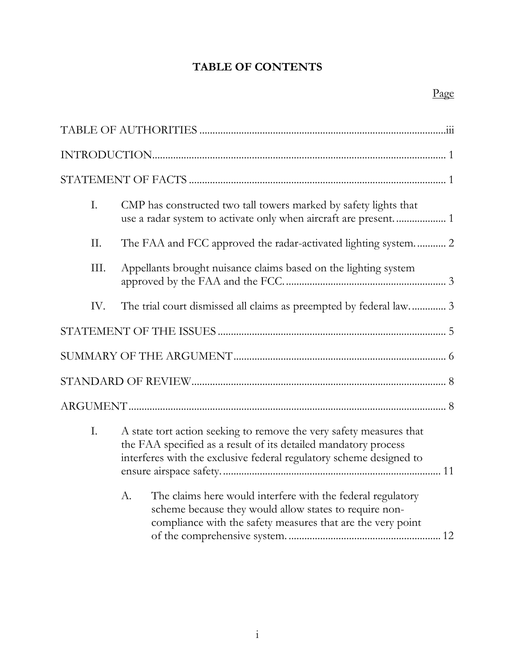# **TABLE OF CONTENTS**

| I.   | CMP has constructed two tall towers marked by safety lights that<br>use a radar system to activate only when aircraft are present 1                                                                           |
|------|---------------------------------------------------------------------------------------------------------------------------------------------------------------------------------------------------------------|
| II.  | The FAA and FCC approved the radar-activated lighting system 2                                                                                                                                                |
| III. | Appellants brought nuisance claims based on the lighting system                                                                                                                                               |
| IV.  | The trial court dismissed all claims as preempted by federal law 3                                                                                                                                            |
|      |                                                                                                                                                                                                               |
|      |                                                                                                                                                                                                               |
|      |                                                                                                                                                                                                               |
|      |                                                                                                                                                                                                               |
| I.   | A state tort action seeking to remove the very safety measures that<br>the FAA specified as a result of its detailed mandatory process<br>interferes with the exclusive federal regulatory scheme designed to |
|      | A.<br>The claims here would interfere with the federal regulatory<br>scheme because they would allow states to require non-<br>compliance with the safety measures that are the very point                    |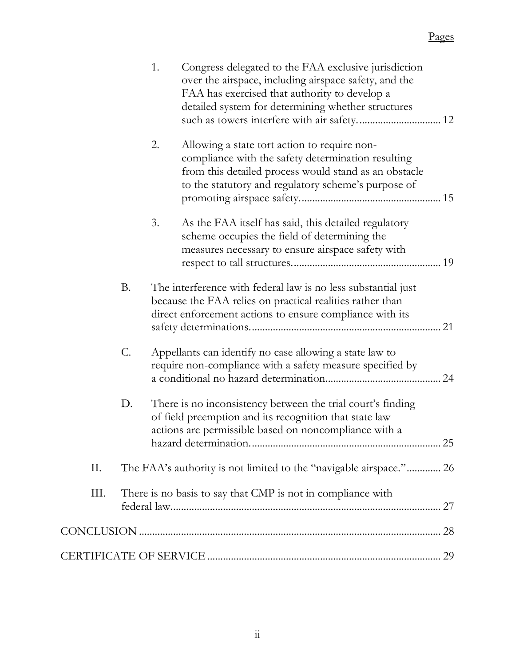|      |           | 1.<br>Congress delegated to the FAA exclusive jurisdiction<br>over the airspace, including airspace safety, and the<br>FAA has exercised that authority to develop a<br>detailed system for determining whether structures<br>such as towers interfere with air safety 12 |
|------|-----------|---------------------------------------------------------------------------------------------------------------------------------------------------------------------------------------------------------------------------------------------------------------------------|
|      |           | 2.<br>Allowing a state tort action to require non-<br>compliance with the safety determination resulting<br>from this detailed process would stand as an obstacle<br>to the statutory and regulatory scheme's purpose of                                                  |
|      |           | 3.<br>As the FAA itself has said, this detailed regulatory<br>scheme occupies the field of determining the<br>measures necessary to ensure airspace safety with                                                                                                           |
|      | <b>B.</b> | The interference with federal law is no less substantial just<br>because the FAA relies on practical realities rather than<br>direct enforcement actions to ensure compliance with its                                                                                    |
|      | C.        | Appellants can identify no case allowing a state law to<br>require non-compliance with a safety measure specified by                                                                                                                                                      |
|      | D.        | There is no inconsistency between the trial court's finding<br>of field preemption and its recognition that state law<br>actions are permissible based on noncompliance with a                                                                                            |
| Π.   |           | The FAA's authority is not limited to the "navigable airspace." 26                                                                                                                                                                                                        |
| III. |           | There is no basis to say that CMP is not in compliance with                                                                                                                                                                                                               |
|      |           |                                                                                                                                                                                                                                                                           |
|      |           |                                                                                                                                                                                                                                                                           |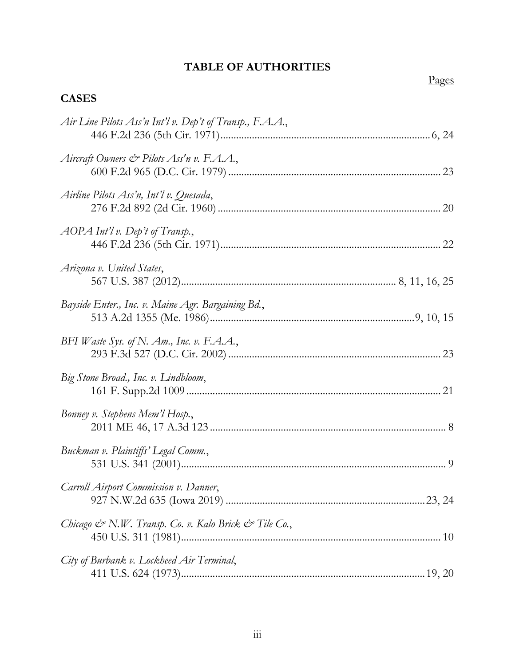# **TABLE OF AUTHORITIES**

# Pages

# <span id="page-3-0"></span>**CASES**

| Air Line Pilots Ass'n Int'l v. Dep't of Transp., F.A.A., |  |
|----------------------------------------------------------|--|
| Aircraft Owners & Pilots Ass'n v. F.A.A.,                |  |
| Airline Pilots Ass'n, Int'l v. Quesada,                  |  |
| AOPA Int'l v. Dep't of Transp.,                          |  |
| Arizona v. United States,                                |  |
| Bayside Enter., Inc. v. Maine Agr. Bargaining Bd.,       |  |
| BFI Waste Sys. of N. Am., Inc. v. F.A.A.,                |  |
| Big Stone Broad., Inc. v. Lindbloom,                     |  |
| Bonney v. Stephens Mem'l Hosp.,                          |  |
| Buckman v. Plaintiffs' Legal Comm.,                      |  |
| Carroll Airport Commission v. Danner,                    |  |
| Chicago & N.W. Transp. Co. v. Kalo Brick & Tile Co.,     |  |
| City of Burbank v. Lockheed Air Terminal,                |  |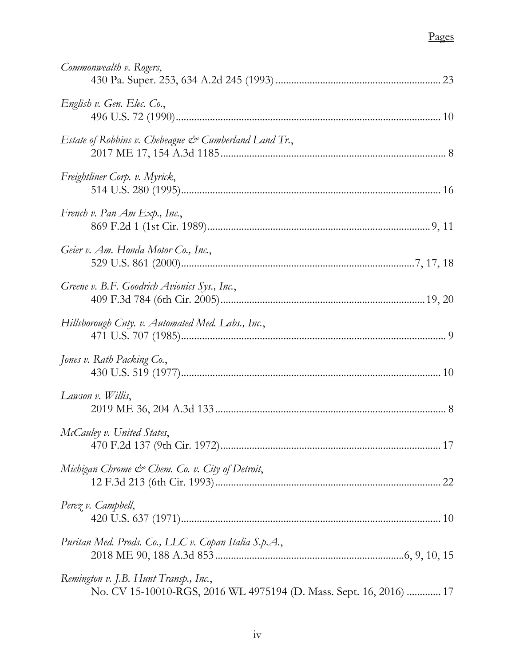# Pages

| Commonwealth v. Rogers,                                                                                     |
|-------------------------------------------------------------------------------------------------------------|
| English v. Gen. Elec. Co.,                                                                                  |
| Estate of Robbins v. Chebeague $\mathcal{C}^{\infty}$ Cumberland Land Tr.,                                  |
| Freightliner Corp. v. Myrick,                                                                               |
| French v. Pan Am Exp., Inc.,                                                                                |
| Geier v. Am. Honda Motor Co., Inc.,                                                                         |
| Greene v. B.F. Goodrich Avionics Sys., Inc.,                                                                |
| Hillsborough Cnty. v. Automated Med. Labs., Inc.,                                                           |
| Jones v. Rath Packing Co.,                                                                                  |
| Lawson v. Willis,                                                                                           |
| McCauley v. United States,                                                                                  |
| Michigan Chrome & Chem. Co. v. City of Detroit,                                                             |
| Perez v. Campbell,                                                                                          |
| Puritan Med. Prods. Co., LLC v. Copan Italia S.p.A.,                                                        |
| Remington v. J.B. Hunt Transp., Inc.,<br>No. CV 15-10010-RGS, 2016 WL 4975194 (D. Mass. Sept. 16, 2016)  17 |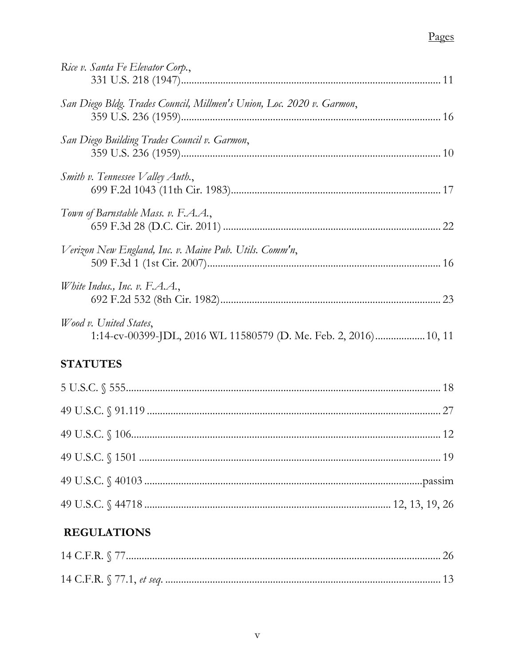# Pages

| Rice v. Santa Fe Elevator Corp.,                                                           |
|--------------------------------------------------------------------------------------------|
| San Diego Bldg. Trades Council, Millmen's Union, Loc. 2020 v. Garmon,                      |
| San Diego Building Trades Council v. Garmon,                                               |
| Smith v. Tennessee Valley Auth.,                                                           |
| Town of Barnstable Mass. v. F.A.A.,                                                        |
| Verizon New England, Inc. v. Maine Pub. Utils. Comm'n,                                     |
| White Indus., Inc. v. F.A.A.,                                                              |
| Wood v. United States,<br>1:14-cv-00399-JDL, 2016 WL 11580579 (D. Me. Feb. 2, 2016) 10, 11 |
| <b>STATUTES</b>                                                                            |
|                                                                                            |
|                                                                                            |
|                                                                                            |
|                                                                                            |
|                                                                                            |

|--|--|--|--|--|--|

# **REGULATIONS**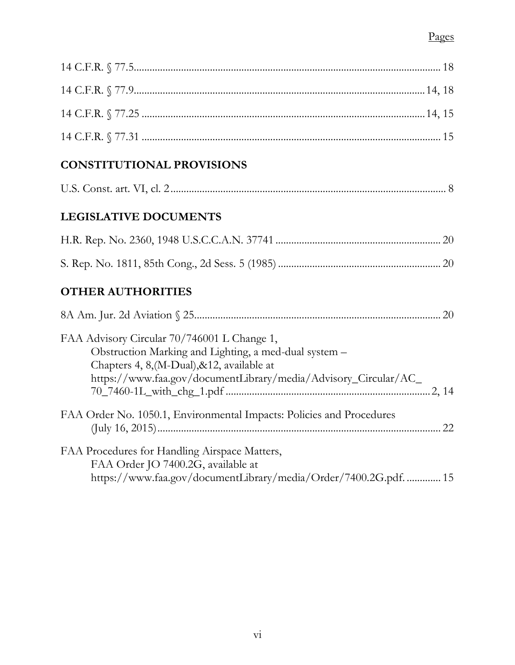# **CONSTITUTIONAL PROVISIONS**

| U.S. Const. art. VI. |  |  |
|----------------------|--|--|
|----------------------|--|--|

# **LEGISLATIVE DOCUMENTS**

# **OTHER AUTHORITIES**

| 20                                                                                                                                                                                                                     |
|------------------------------------------------------------------------------------------------------------------------------------------------------------------------------------------------------------------------|
| FAA Advisory Circular 70/746001 L Change 1,<br>Obstruction Marking and Lighting, a med-dual system -<br>Chapters 4, 8, (M-Dual), & 12, available at<br>https://www.faa.gov/documentLibrary/media/Advisory_Circular/AC_ |
|                                                                                                                                                                                                                        |
| FAA Order No. 1050.1, Environmental Impacts: Policies and Procedures<br>22                                                                                                                                             |
| FAA Procedures for Handling Airspace Matters,<br>FAA Order JO 7400.2G, available at<br>https://www.faa.gov/documentLibrary/media/Order/7400.2G.pdf.  15                                                                |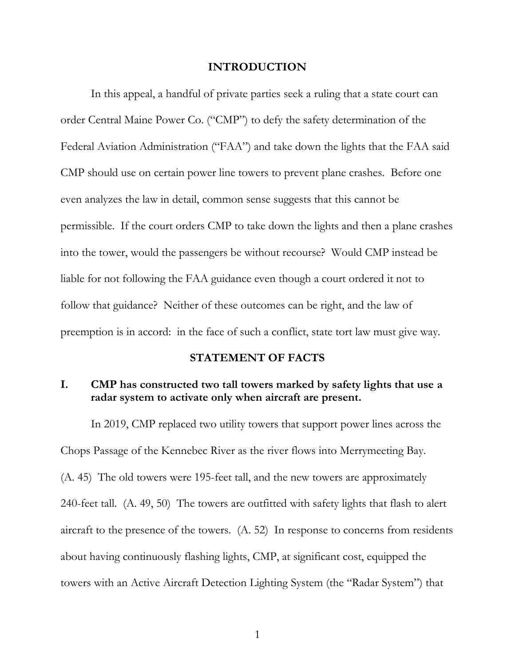#### **INTRODUCTION**

<span id="page-7-0"></span>In this appeal, a handful of private parties seek a ruling that a state court can order Central Maine Power Co. ("CMP") to defy the safety determination of the Federal Aviation Administration ("FAA") and take down the lights that the FAA said CMP should use on certain power line towers to prevent plane crashes. Before one even analyzes the law in detail, common sense suggests that this cannot be permissible. If the court orders CMP to take down the lights and then a plane crashes into the tower, would the passengers be without recourse? Would CMP instead be liable for not following the FAA guidance even though a court ordered it not to follow that guidance? Neither of these outcomes can be right, and the law of preemption is in accord: in the face of such a conflict, state tort law must give way.

#### **STATEMENT OF FACTS**

## <span id="page-7-2"></span><span id="page-7-1"></span>**I. CMP has constructed two tall towers marked by safety lights that use a radar system to activate only when aircraft are present.**

In 2019, CMP replaced two utility towers that support power lines across the Chops Passage of the Kennebec River as the river flows into Merrymeeting Bay. (A. 45) The old towers were 195-feet tall, and the new towers are approximately 240-feet tall. (A. 49, 50) The towers are outfitted with safety lights that flash to alert aircraft to the presence of the towers. (A. 52) In response to concerns from residents about having continuously flashing lights, CMP, at significant cost, equipped the towers with an Active Aircraft Detection Lighting System (the "Radar System") that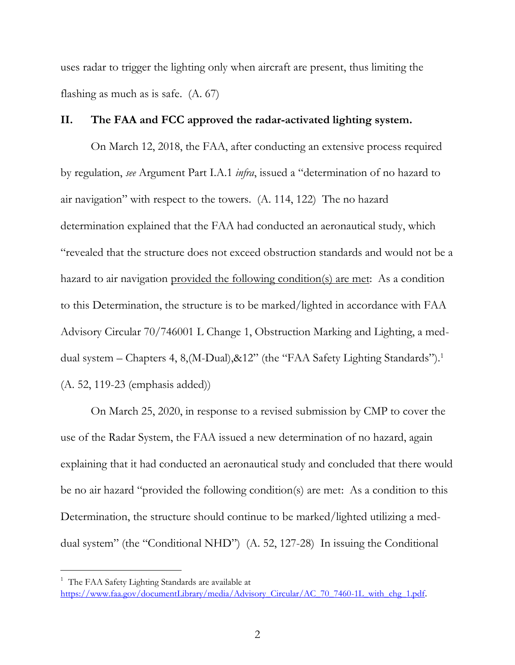uses radar to trigger the lighting only when aircraft are present, thus limiting the flashing as much as is safe. (A. 67)

#### <span id="page-8-0"></span>**II. The FAA and FCC approved the radar-activated lighting system.**

On March 12, 2018, the FAA, after conducting an extensive process required by regulation, *see* Argument Part I.A.1 *infra*, issued a "determination of no hazard to air navigation" with respect to the towers. (A. 114, 122) The no hazard determination explained that the FAA had conducted an aeronautical study, which "revealed that the structure does not exceed obstruction standards and would not be a hazard to air navigation provided the following condition(s) are met: As a condition to this Determination, the structure is to be marked/lighted in accordance with FAA Advisory Circular 70/746001 L Change 1, Obstruction Marking and Lighting, a meddual system – Chapters 4, 8, (M-Dual), & 12" (the "FAA Safety Lighting Standards").<sup>1</sup> (A. 52, 119-23 (emphasis added))

On March 25, 2020, in response to a revised submission by CMP to cover the use of the Radar System, the FAA issued a new determination of no hazard, again explaining that it had conducted an aeronautical study and concluded that there would be no air hazard "provided the following condition(s) are met: As a condition to this Determination, the structure should continue to be marked/lighted utilizing a meddual system" (the "Conditional NHD") (A. 52, 127-28) In issuing the Conditional

 $\overline{a}$ 

<sup>&</sup>lt;sup>1</sup> The FAA Safety Lighting Standards are available at [https://www.faa.gov/documentLibrary/media/Advisory\\_Circular/AC\\_70\\_7460-1L\\_with\\_chg\\_1.pdf](https://www.faa.gov/documentLibrary/media/Advisory_Circular/AC_70_7460-1L_with_chg_1.pdf).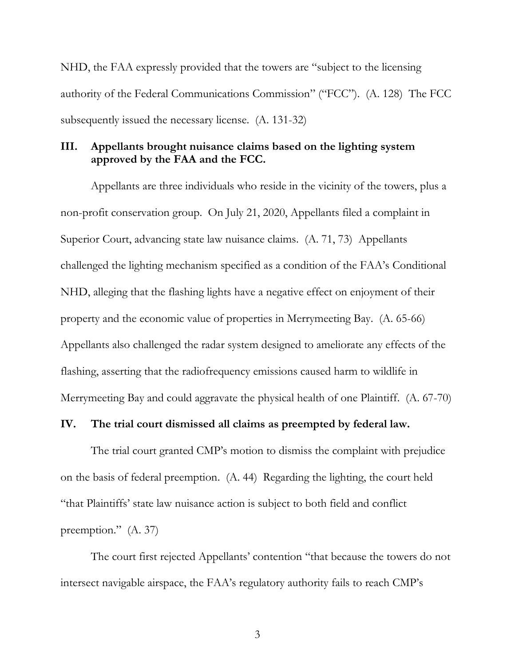NHD, the FAA expressly provided that the towers are "subject to the licensing authority of the Federal Communications Commission" ("FCC"). (A. 128) The FCC subsequently issued the necessary license. (A. 131-32)

### <span id="page-9-0"></span>**III. Appellants brought nuisance claims based on the lighting system approved by the FAA and the FCC.**

Appellants are three individuals who reside in the vicinity of the towers, plus a non-profit conservation group. On July 21, 2020, Appellants filed a complaint in Superior Court, advancing state law nuisance claims. (A. 71, 73) Appellants challenged the lighting mechanism specified as a condition of the FAA's Conditional NHD, alleging that the flashing lights have a negative effect on enjoyment of their property and the economic value of properties in Merrymeeting Bay. (A. 65-66) Appellants also challenged the radar system designed to ameliorate any effects of the flashing, asserting that the radiofrequency emissions caused harm to wildlife in Merrymeeting Bay and could aggravate the physical health of one Plaintiff. (A. 67-70)

#### <span id="page-9-1"></span>**IV. The trial court dismissed all claims as preempted by federal law.**

The trial court granted CMP's motion to dismiss the complaint with prejudice on the basis of federal preemption. (A. 44) Regarding the lighting, the court held "that Plaintiffs' state law nuisance action is subject to both field and conflict preemption." (A. 37)

The court first rejected Appellants' contention "that because the towers do not intersect navigable airspace, the FAA's regulatory authority fails to reach CMP's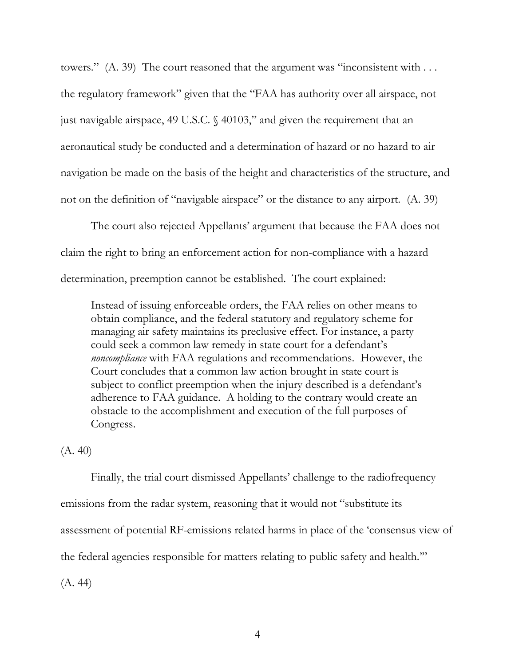towers." (A. 39) The court reasoned that the argument was "inconsistent with . . . the regulatory framework" given that the "FAA has authority over all airspace, not just navigable airspace, 49 U.S.C. § 40103," and given the requirement that an aeronautical study be conducted and a determination of hazard or no hazard to air navigation be made on the basis of the height and characteristics of the structure, and not on the definition of "navigable airspace" or the distance to any airport. (A. 39)

The court also rejected Appellants' argument that because the FAA does not claim the right to bring an enforcement action for non-compliance with a hazard determination, preemption cannot be established. The court explained:

Instead of issuing enforceable orders, the FAA relies on other means to obtain compliance, and the federal statutory and regulatory scheme for managing air safety maintains its preclusive effect. For instance, a party could seek a common law remedy in state court for a defendant's *noncompliance* with FAA regulations and recommendations. However, the Court concludes that a common law action brought in state court is subject to conflict preemption when the injury described is a defendant's adherence to FAA guidance. A holding to the contrary would create an obstacle to the accomplishment and execution of the full purposes of Congress.

(A. 40)

Finally, the trial court dismissed Appellants' challenge to the radiofrequency emissions from the radar system, reasoning that it would not "substitute its assessment of potential RF-emissions related harms in place of the 'consensus view of the federal agencies responsible for matters relating to public safety and health.'"

(A. 44)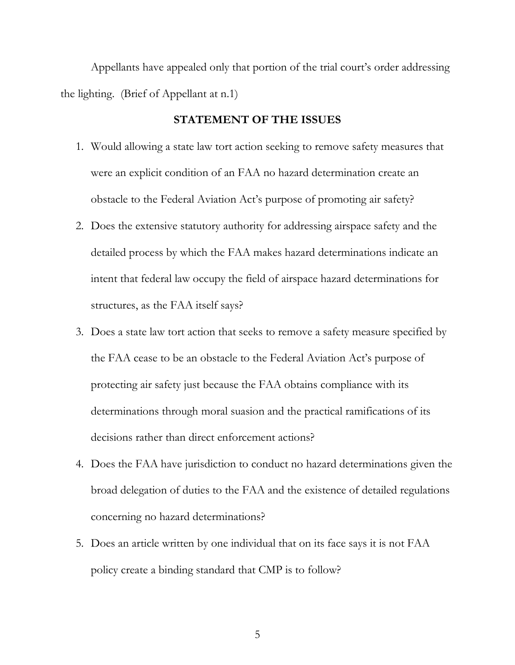Appellants have appealed only that portion of the trial court's order addressing the lighting. (Brief of Appellant at n.1)

#### **STATEMENT OF THE ISSUES**

- <span id="page-11-0"></span>1. Would allowing a state law tort action seeking to remove safety measures that were an explicit condition of an FAA no hazard determination create an obstacle to the Federal Aviation Act's purpose of promoting air safety?
- 2. Does the extensive statutory authority for addressing airspace safety and the detailed process by which the FAA makes hazard determinations indicate an intent that federal law occupy the field of airspace hazard determinations for structures, as the FAA itself says?
- 3. Does a state law tort action that seeks to remove a safety measure specified by the FAA cease to be an obstacle to the Federal Aviation Act's purpose of protecting air safety just because the FAA obtains compliance with its determinations through moral suasion and the practical ramifications of its decisions rather than direct enforcement actions?
- 4. Does the FAA have jurisdiction to conduct no hazard determinations given the broad delegation of duties to the FAA and the existence of detailed regulations concerning no hazard determinations?
- 5. Does an article written by one individual that on its face says it is not FAA policy create a binding standard that CMP is to follow?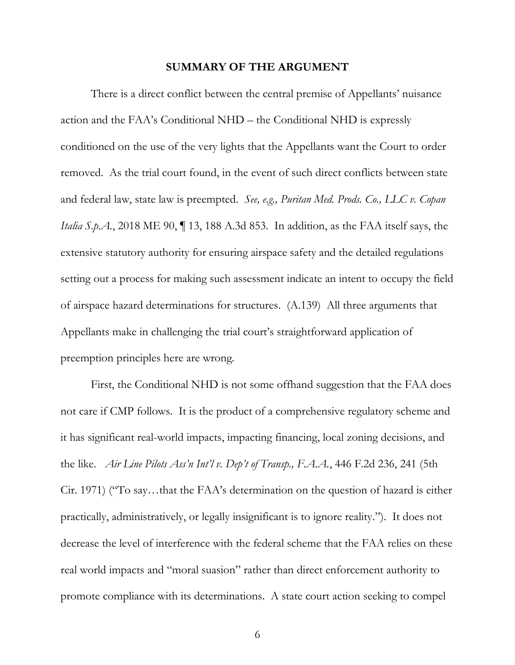#### **SUMMARY OF THE ARGUMENT**

<span id="page-12-0"></span>There is a direct conflict between the central premise of Appellants' nuisance action and the FAA's Conditional NHD – the Conditional NHD is expressly conditioned on the use of the very lights that the Appellants want the Court to order removed. As the trial court found, in the event of such direct conflicts between state and federal law, state law is preempted. *See, e.g., Puritan Med. Prods. Co., LLC v. Copan Italia S.p.A.*, 2018 ME 90, ¶ 13, 188 A.3d 853. In addition, as the FAA itself says, the extensive statutory authority for ensuring airspace safety and the detailed regulations setting out a process for making such assessment indicate an intent to occupy the field of airspace hazard determinations for structures. (A.139) All three arguments that Appellants make in challenging the trial court's straightforward application of preemption principles here are wrong.

First, the Conditional NHD is not some offhand suggestion that the FAA does not care if CMP follows. It is the product of a comprehensive regulatory scheme and it has significant real-world impacts, impacting financing, local zoning decisions, and the like. *Air Line Pilots Ass'n Int'l v. Dep't of Transp., F.A.A.*, 446 F.2d 236, 241 (5th Cir. 1971) ("To say…that the FAA's determination on the question of hazard is either practically, administratively, or legally insignificant is to ignore reality."). It does not decrease the level of interference with the federal scheme that the FAA relies on these real world impacts and "moral suasion" rather than direct enforcement authority to promote compliance with its determinations. A state court action seeking to compel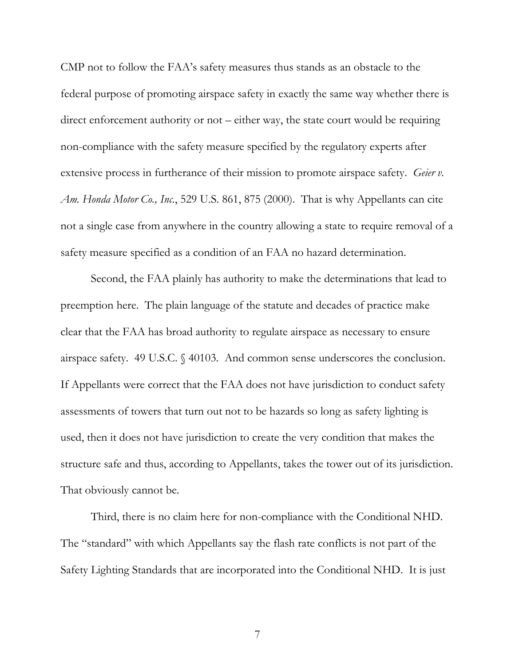CMP not to follow the FAA's safety measures thus stands as an obstacle to the federal purpose of promoting airspace safety in exactly the same way whether there is direct enforcement authority or not – either way, the state court would be requiring non-compliance with the safety measure specified by the regulatory experts after extensive process in furtherance of their mission to promote airspace safety. *Geier v. Am. Honda Motor Co., Inc.*, 529 U.S. 861, 875 (2000). That is why Appellants can cite not a single case from anywhere in the country allowing a state to require removal of a safety measure specified as a condition of an FAA no hazard determination.

Second, the FAA plainly has authority to make the determinations that lead to preemption here. The plain language of the statute and decades of practice make clear that the FAA has broad authority to regulate airspace as necessary to ensure airspace safety. 49 U.S.C. § 40103. And common sense underscores the conclusion. If Appellants were correct that the FAA does not have jurisdiction to conduct safety assessments of towers that turn out not to be hazards so long as safety lighting is used, then it does not have jurisdiction to create the very condition that makes the structure safe and thus, according to Appellants, takes the tower out of its jurisdiction. That obviously cannot be.

Third, there is no claim here for non-compliance with the Conditional NHD. The "standard" with which Appellants say the flash rate conflicts is not part of the Safety Lighting Standards that are incorporated into the Conditional NHD. It is just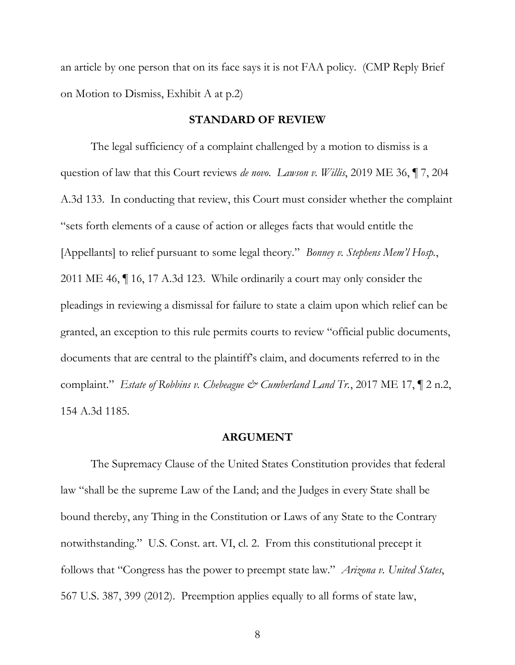an article by one person that on its face says it is not FAA policy. (CMP Reply Brief on Motion to Dismiss, Exhibit A at p.2)

#### **STANDARD OF REVIEW**

<span id="page-14-0"></span>The legal sufficiency of a complaint challenged by a motion to dismiss is a question of law that this Court reviews *de novo*. *Lawson v. Willis*, 2019 ME 36, ¶ 7, 204 A.3d 133. In conducting that review, this Court must consider whether the complaint "sets forth elements of a cause of action or alleges facts that would entitle the [Appellants] to relief pursuant to some legal theory." *Bonney v. Stephens Mem'l Hosp.*, 2011 ME 46, ¶ 16, 17 A.3d 123. While ordinarily a court may only consider the pleadings in reviewing a dismissal for failure to state a claim upon which relief can be granted, an exception to this rule permits courts to review "official public documents, documents that are central to the plaintiff's claim, and documents referred to in the complaint." *Estate of Robbins v. Chebeague & Cumberland Land Tr.*, 2017 ME 17, ¶ 2 n.2, 154 A.3d 1185.

#### **ARGUMENT**

<span id="page-14-1"></span>The Supremacy Clause of the United States Constitution provides that federal law "shall be the supreme Law of the Land; and the Judges in every State shall be bound thereby, any Thing in the Constitution or Laws of any State to the Contrary notwithstanding." U.S. Const. art. VI, cl. 2. From this constitutional precept it follows that "Congress has the power to preempt state law." *Arizona v. United States*, 567 U.S. 387, 399 (2012). Preemption applies equally to all forms of state law,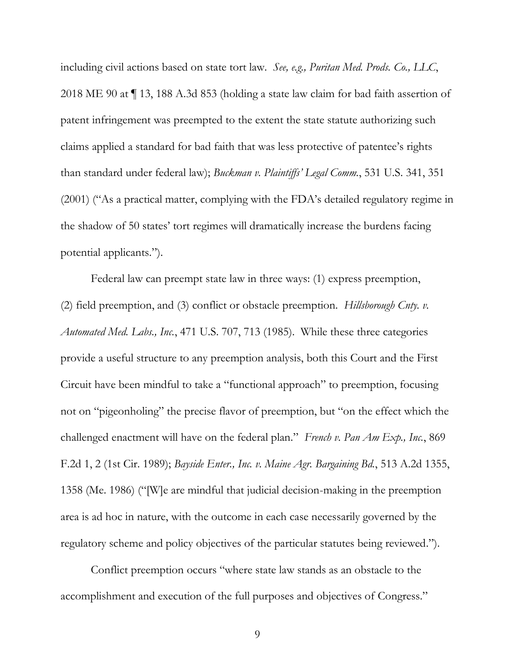including civil actions based on state tort law. *See, e.g., Puritan Med. Prods. Co., LLC*, 2018 ME 90 at ¶ 13, 188 A.3d 853 (holding a state law claim for bad faith assertion of patent infringement was preempted to the extent the state statute authorizing such claims applied a standard for bad faith that was less protective of patentee's rights than standard under federal law); *Buckman v. Plaintiffs' Legal Comm.*, 531 U.S. 341, 351 (2001) ("As a practical matter, complying with the FDA's detailed regulatory regime in the shadow of 50 states' tort regimes will dramatically increase the burdens facing potential applicants.").

Federal law can preempt state law in three ways: (1) express preemption, (2) field preemption, and (3) conflict or obstacle preemption. *Hillsborough Cnty. v. Automated Med. Labs., Inc.*, 471 U.S. 707, 713 (1985). While these three categories provide a useful structure to any preemption analysis, both this Court and the First Circuit have been mindful to take a "functional approach" to preemption, focusing not on "pigeonholing" the precise flavor of preemption, but "on the effect which the challenged enactment will have on the federal plan." *French v. Pan Am Exp., Inc.*, 869 F.2d 1, 2 (1st Cir. 1989); *Bayside Enter., Inc. v. Maine Agr. Bargaining Bd.*, 513 A.2d 1355, 1358 (Me. 1986) ("[W]e are mindful that judicial decision-making in the preemption area is ad hoc in nature, with the outcome in each case necessarily governed by the regulatory scheme and policy objectives of the particular statutes being reviewed.").

Conflict preemption occurs "where state law stands as an obstacle to the accomplishment and execution of the full purposes and objectives of Congress."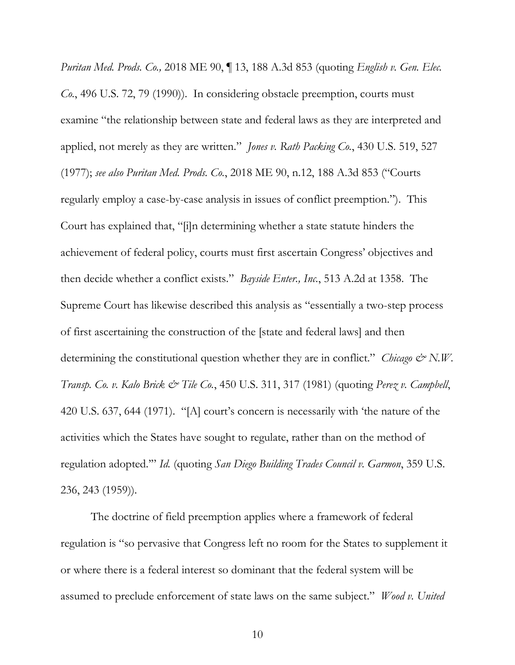*Puritan Med. Prods. Co.,* 2018 ME 90, ¶ 13, 188 A.3d 853 (quoting *English v. Gen. Elec. Co.*, 496 U.S. 72, 79 (1990)). In considering obstacle preemption, courts must examine "the relationship between state and federal laws as they are interpreted and applied, not merely as they are written." *Jones v. Rath Packing Co.*, 430 U.S. 519, 527 (1977); *see also Puritan Med. Prods. Co.*, 2018 ME 90, n.12, 188 A.3d 853 ("Courts regularly employ a case-by-case analysis in issues of conflict preemption."). This Court has explained that, "[i]n determining whether a state statute hinders the achievement of federal policy, courts must first ascertain Congress' objectives and then decide whether a conflict exists." *Bayside Enter., Inc.*, 513 A.2d at 1358. The Supreme Court has likewise described this analysis as "essentially a two-step process of first ascertaining the construction of the [state and federal laws] and then determining the constitutional question whether they are in conflict." *Chicago & N.W. Transp. Co. v. Kalo Brick & Tile Co.*, 450 U.S. 311, 317 (1981) (quoting *Perez v. Campbell*, 420 U.S. 637, 644 (1971). "[A] court's concern is necessarily with 'the nature of the activities which the States have sought to regulate, rather than on the method of regulation adopted.'" *Id.* (quoting *San Diego Building Trades Council v. Garmon*, 359 U.S. 236, 243 (1959)).

The doctrine of field preemption applies where a framework of federal regulation is "so pervasive that Congress left no room for the States to supplement it or where there is a federal interest so dominant that the federal system will be assumed to preclude enforcement of state laws on the same subject." *Wood v. United*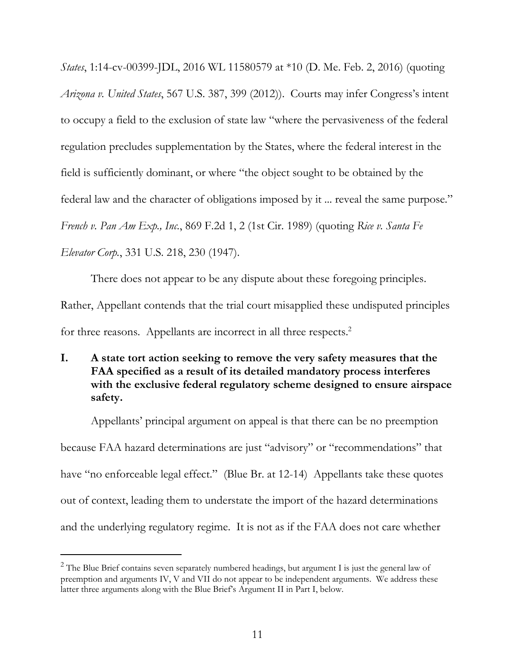*States*, 1:14-cv-00399-JDL, 2016 WL 11580579 at \*10 (D. Me. Feb. 2, 2016) (quoting *Arizona v. United States*, 567 U.S. 387, 399 (2012)). Courts may infer Congress's intent to occupy a field to the exclusion of state law "where the pervasiveness of the federal regulation precludes supplementation by the States, where the federal interest in the field is sufficiently dominant, or where "the object sought to be obtained by the federal law and the character of obligations imposed by it ... reveal the same purpose." *French v. Pan Am Exp., Inc.*, 869 F.2d 1, 2 (1st Cir. 1989) (quoting *Rice v. Santa Fe Elevator Corp.*, 331 U.S. 218, 230 (1947).

There does not appear to be any dispute about these foregoing principles. Rather, Appellant contends that the trial court misapplied these undisputed principles for three reasons. Appellants are incorrect in all three respects. 2

<span id="page-17-0"></span>**I. A state tort action seeking to remove the very safety measures that the FAA specified as a result of its detailed mandatory process interferes with the exclusive federal regulatory scheme designed to ensure airspace safety.** 

Appellants' principal argument on appeal is that there can be no preemption because FAA hazard determinations are just "advisory" or "recommendations" that have "no enforceable legal effect." (Blue Br. at 12-14) Appellants take these quotes out of context, leading them to understate the import of the hazard determinations and the underlying regulatory regime. It is not as if the FAA does not care whether

 $\overline{a}$ 

 $2$  The Blue Brief contains seven separately numbered headings, but argument I is just the general law of preemption and arguments IV, V and VII do not appear to be independent arguments. We address these latter three arguments along with the Blue Brief's Argument II in Part I, below.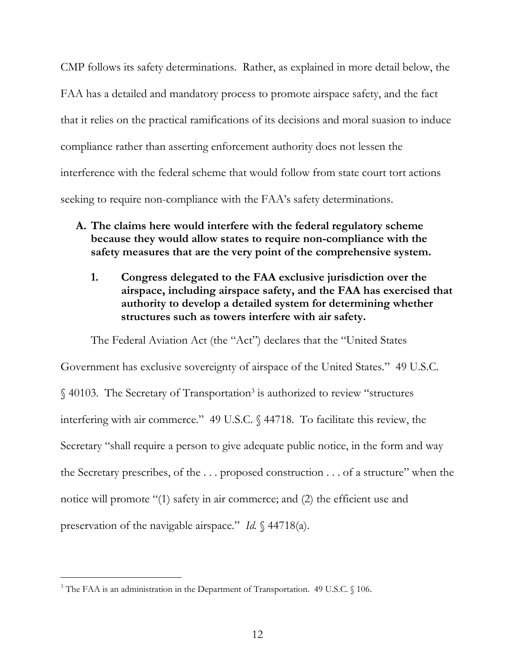CMP follows its safety determinations. Rather, as explained in more detail below, the FAA has a detailed and mandatory process to promote airspace safety, and the fact that it relies on the practical ramifications of its decisions and moral suasion to induce compliance rather than asserting enforcement authority does not lessen the interference with the federal scheme that would follow from state court tort actions seeking to require non-compliance with the FAA's safety determinations.

- <span id="page-18-1"></span><span id="page-18-0"></span>**A. The claims here would interfere with the federal regulatory scheme because they would allow states to require non-compliance with the safety measures that are the very point of the comprehensive system.** 
	- **1. Congress delegated to the FAA exclusive jurisdiction over the airspace, including airspace safety, and the FAA has exercised that authority to develop a detailed system for determining whether structures such as towers interfere with air safety.**

The Federal Aviation Act (the "Act") declares that the "United States Government has exclusive sovereignty of airspace of the United States." 49 U.S.C. § 40103. The Secretary of Transportation<sup>3</sup> is authorized to review "structures" interfering with air commerce." 49 U.S.C. § 44718. To facilitate this review, the Secretary "shall require a person to give adequate public notice, in the form and way the Secretary prescribes, of the  $\dots$  proposed construction  $\dots$  of a structure" when the notice will promote "(1) safety in air commerce; and (2) the efficient use and preservation of the navigable airspace." *Id.* § 44718(a).

 $\overline{a}$ 

<sup>&</sup>lt;sup>3</sup> The FAA is an administration in the Department of Transportation. 49 U.S.C. § 106.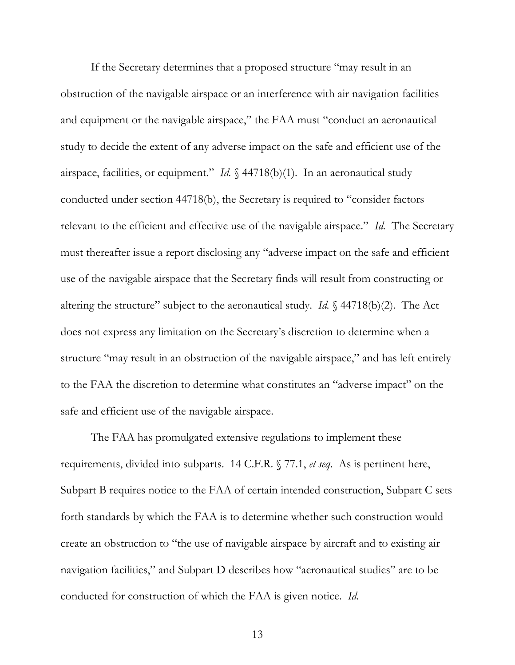If the Secretary determines that a proposed structure "may result in an obstruction of the navigable airspace or an interference with air navigation facilities and equipment or the navigable airspace," the FAA must "conduct an aeronautical study to decide the extent of any adverse impact on the safe and efficient use of the airspace, facilities, or equipment." *Id.* § 44718(b)(1). In an aeronautical study conducted under section 44718(b), the Secretary is required to "consider factors relevant to the efficient and effective use of the navigable airspace." *Id.* The Secretary must thereafter issue a report disclosing any "adverse impact on the safe and efficient use of the navigable airspace that the Secretary finds will result from constructing or altering the structure" subject to the aeronautical study. *Id.* § 44718(b)(2). The Act does not express any limitation on the Secretary's discretion to determine when a structure "may result in an obstruction of the navigable airspace," and has left entirely to the FAA the discretion to determine what constitutes an "adverse impact" on the safe and efficient use of the navigable airspace.

The FAA has promulgated extensive regulations to implement these requirements, divided into subparts. 14 C.F.R. § 77.1, *et seq*. As is pertinent here, Subpart B requires notice to the FAA of certain intended construction, Subpart C sets forth standards by which the FAA is to determine whether such construction would create an obstruction to "the use of navigable airspace by aircraft and to existing air navigation facilities," and Subpart D describes how "aeronautical studies" are to be conducted for construction of which the FAA is given notice. *Id.*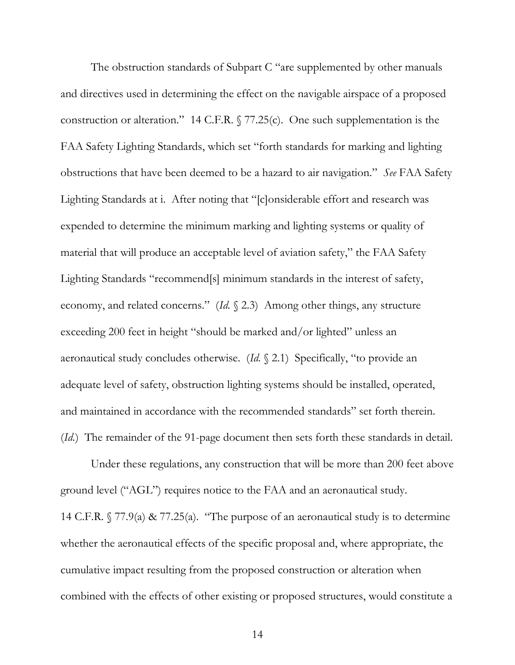The obstruction standards of Subpart C "are supplemented by other manuals and directives used in determining the effect on the navigable airspace of a proposed construction or alteration." 14 C.F.R. § 77.25(c). One such supplementation is the FAA Safety Lighting Standards, which set "forth standards for marking and lighting obstructions that have been deemed to be a hazard to air navigation." *See* FAA Safety Lighting Standards at i. After noting that "[c]onsiderable effort and research was expended to determine the minimum marking and lighting systems or quality of material that will produce an acceptable level of aviation safety," the FAA Safety Lighting Standards "recommend[s] minimum standards in the interest of safety, economy, and related concerns." (*Id.* § 2.3) Among other things, any structure exceeding 200 feet in height "should be marked and/or lighted" unless an aeronautical study concludes otherwise. (*Id.* § 2.1) Specifically, "to provide an adequate level of safety, obstruction lighting systems should be installed, operated, and maintained in accordance with the recommended standards" set forth therein. (*Id.*) The remainder of the 91-page document then sets forth these standards in detail.

Under these regulations, any construction that will be more than 200 feet above ground level ("AGL") requires notice to the FAA and an aeronautical study. 14 C.F.R. § 77.9(a) & 77.25(a). "The purpose of an aeronautical study is to determine whether the aeronautical effects of the specific proposal and, where appropriate, the cumulative impact resulting from the proposed construction or alteration when combined with the effects of other existing or proposed structures, would constitute a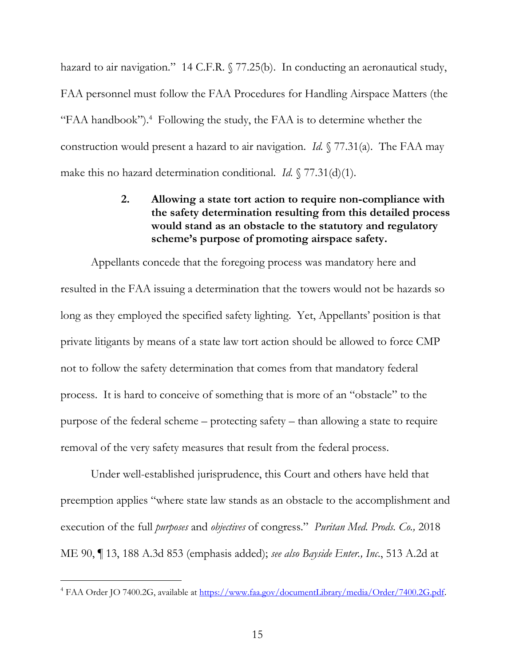hazard to air navigation." 14 C.F.R. § 77.25(b). In conducting an aeronautical study, FAA personnel must follow the FAA Procedures for Handling Airspace Matters (the "FAA handbook").<sup>4</sup> Following the study, the FAA is to determine whether the construction would present a hazard to air navigation. *Id.* § 77.31(a). The FAA may make this no hazard determination conditional. *Id.* § 77.31(d)(1).

# <span id="page-21-0"></span>**2. Allowing a state tort action to require non-compliance with the safety determination resulting from this detailed process would stand as an obstacle to the statutory and regulatory scheme's purpose of promoting airspace safety.**

Appellants concede that the foregoing process was mandatory here and resulted in the FAA issuing a determination that the towers would not be hazards so long as they employed the specified safety lighting. Yet, Appellants' position is that private litigants by means of a state law tort action should be allowed to force CMP not to follow the safety determination that comes from that mandatory federal process. It is hard to conceive of something that is more of an "obstacle" to the purpose of the federal scheme – protecting safety – than allowing a state to require removal of the very safety measures that result from the federal process.

Under well-established jurisprudence, this Court and others have held that preemption applies "where state law stands as an obstacle to the accomplishment and execution of the full *purposes* and *objectives* of congress." *Puritan Med. Prods. Co.,* 2018 ME 90, ¶ 13, 188 A.3d 853 (emphasis added); *see also Bayside Enter., Inc.*, 513 A.2d at

 $\overline{a}$ 

<sup>4</sup> FAA Order JO 7400.2G, available at<https://www.faa.gov/documentLibrary/media/Order/7400.2G.pdf>.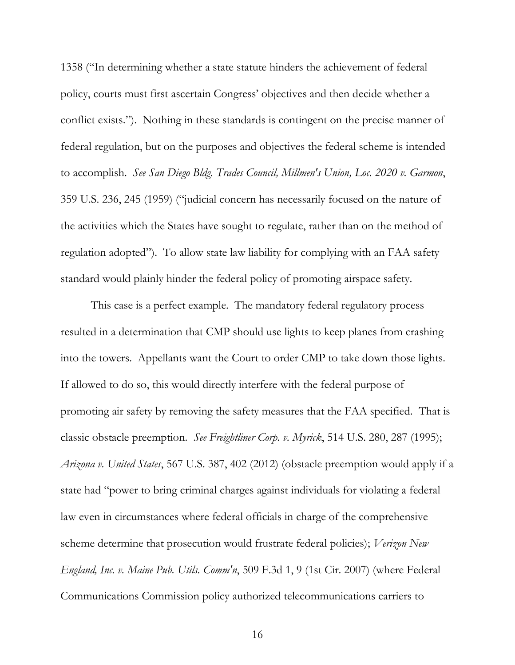1358 ("In determining whether a state statute hinders the achievement of federal policy, courts must first ascertain Congress' objectives and then decide whether a conflict exists."). Nothing in these standards is contingent on the precise manner of federal regulation, but on the purposes and objectives the federal scheme is intended to accomplish. *See San Diego Bldg. Trades Council, Millmen's Union, Loc. 2020 v. Garmon*, 359 U.S. 236, 245 (1959) ("judicial concern has necessarily focused on the nature of the activities which the States have sought to regulate, rather than on the method of regulation adopted"). To allow state law liability for complying with an FAA safety standard would plainly hinder the federal policy of promoting airspace safety.

This case is a perfect example. The mandatory federal regulatory process resulted in a determination that CMP should use lights to keep planes from crashing into the towers. Appellants want the Court to order CMP to take down those lights. If allowed to do so, this would directly interfere with the federal purpose of promoting air safety by removing the safety measures that the FAA specified. That is classic obstacle preemption. *See Freightliner Corp. v. Myrick*, 514 U.S. 280, 287 (1995); *Arizona v. United States*, 567 U.S. 387, 402 (2012) (obstacle preemption would apply if a state had "power to bring criminal charges against individuals for violating a federal law even in circumstances where federal officials in charge of the comprehensive scheme determine that prosecution would frustrate federal policies); *Verizon New England, Inc. v. Maine Pub. Utils. Comm'n*, 509 F.3d 1, 9 (1st Cir. 2007) (where Federal Communications Commission policy authorized telecommunications carriers to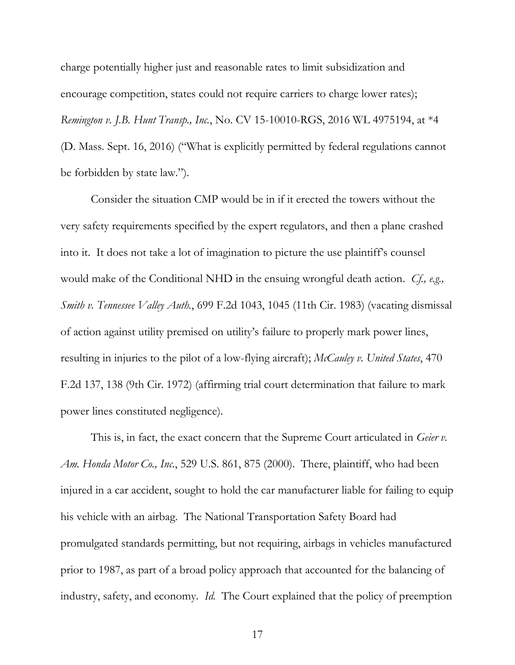charge potentially higher just and reasonable rates to limit subsidization and encourage competition, states could not require carriers to charge lower rates); *Remington v. J.B. Hunt Transp., Inc.*, No. CV 15-10010-RGS, 2016 WL 4975194, at \*4 (D. Mass. Sept. 16, 2016) ("What is explicitly permitted by federal regulations cannot be forbidden by state law.").

Consider the situation CMP would be in if it erected the towers without the very safety requirements specified by the expert regulators, and then a plane crashed into it. It does not take a lot of imagination to picture the use plaintiff's counsel would make of the Conditional NHD in the ensuing wrongful death action. *Cf., e.g., Smith v. Tennessee Valley Auth.*, 699 F.2d 1043, 1045 (11th Cir. 1983) (vacating dismissal of action against utility premised on utility's failure to properly mark power lines, resulting in injuries to the pilot of a low-flying aircraft); *McCauley v. United States*, 470 F.2d 137, 138 (9th Cir. 1972) (affirming trial court determination that failure to mark power lines constituted negligence).

This is, in fact, the exact concern that the Supreme Court articulated in *Geier v. Am. Honda Motor Co., Inc.*, 529 U.S. 861, 875 (2000). There, plaintiff, who had been injured in a car accident, sought to hold the car manufacturer liable for failing to equip his vehicle with an airbag. The National Transportation Safety Board had promulgated standards permitting, but not requiring, airbags in vehicles manufactured prior to 1987, as part of a broad policy approach that accounted for the balancing of industry, safety, and economy. *Id.* The Court explained that the policy of preemption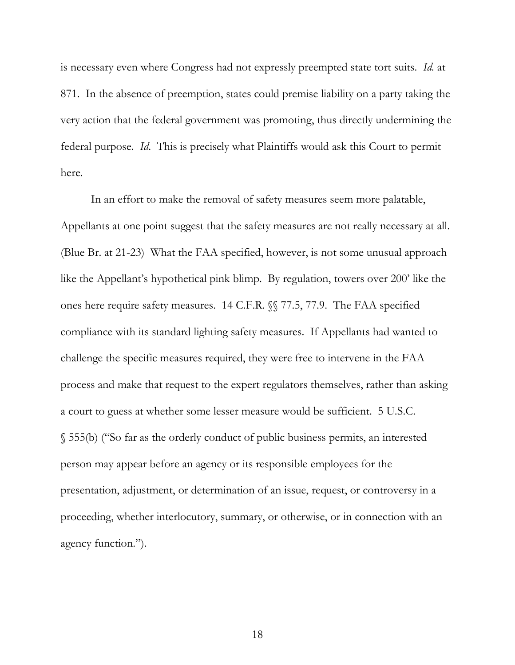is necessary even where Congress had not expressly preempted state tort suits. *Id.* at 871. In the absence of preemption, states could premise liability on a party taking the very action that the federal government was promoting, thus directly undermining the federal purpose. *Id*. This is precisely what Plaintiffs would ask this Court to permit here.

In an effort to make the removal of safety measures seem more palatable, Appellants at one point suggest that the safety measures are not really necessary at all. (Blue Br. at 21-23) What the FAA specified, however, is not some unusual approach like the Appellant's hypothetical pink blimp. By regulation, towers over 200' like the ones here require safety measures. 14 C.F.R. §§ 77.5, 77.9. The FAA specified compliance with its standard lighting safety measures. If Appellants had wanted to challenge the specific measures required, they were free to intervene in the FAA process and make that request to the expert regulators themselves, rather than asking a court to guess at whether some lesser measure would be sufficient. 5 U.S.C. § 555(b) ("So far as the orderly conduct of public business permits, an interested person may appear before an agency or its responsible employees for the presentation, adjustment, or determination of an issue, request, or controversy in a proceeding, whether interlocutory, summary, or otherwise, or in connection with an agency function.").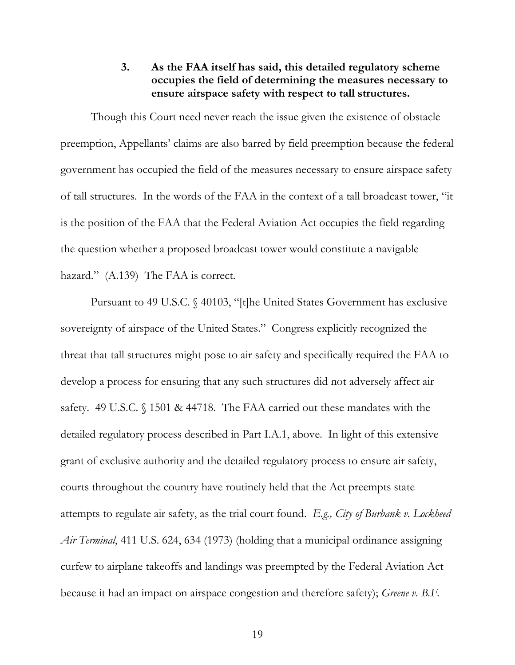## **3. As the FAA itself has said, this detailed regulatory scheme occupies the field of determining the measures necessary to ensure airspace safety with respect to tall structures.**

<span id="page-25-0"></span>Though this Court need never reach the issue given the existence of obstacle preemption, Appellants' claims are also barred by field preemption because the federal government has occupied the field of the measures necessary to ensure airspace safety of tall structures. In the words of the FAA in the context of a tall broadcast tower, "it is the position of the FAA that the Federal Aviation Act occupies the field regarding the question whether a proposed broadcast tower would constitute a navigable hazard." (A.139) The FAA is correct.

Pursuant to 49 U.S.C. § 40103, "[t]he United States Government has exclusive sovereignty of airspace of the United States." Congress explicitly recognized the threat that tall structures might pose to air safety and specifically required the FAA to develop a process for ensuring that any such structures did not adversely affect air safety. 49 U.S.C. § 1501 & 44718. The FAA carried out these mandates with the detailed regulatory process described in Part I.A.1, above. In light of this extensive grant of exclusive authority and the detailed regulatory process to ensure air safety, courts throughout the country have routinely held that the Act preempts state attempts to regulate air safety, as the trial court found. *E.g., City of Burbank v. Lockheed Air Terminal*, 411 U.S. 624, 634 (1973) (holding that a municipal ordinance assigning curfew to airplane takeoffs and landings was preempted by the Federal Aviation Act because it had an impact on airspace congestion and therefore safety); *Greene v. B.F.*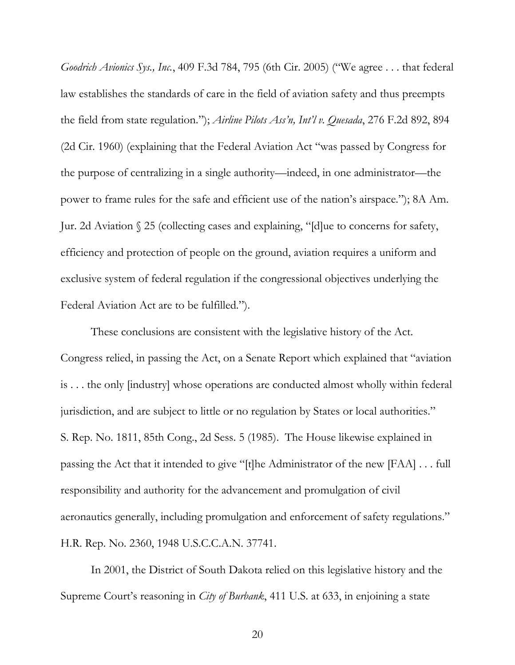*Goodrich Avionics Sys., Inc.*, 409 F.3d 784, 795 (6th Cir. 2005) ("We agree . . . that federal law establishes the standards of care in the field of aviation safety and thus preempts the field from state regulation."); *Airline Pilots Ass'n, Int'l v. Quesada*, 276 F.2d 892, 894 (2d Cir. 1960) (explaining that the Federal Aviation Act "was passed by Congress for the purpose of centralizing in a single authority—indeed, in one administrator—the power to frame rules for the safe and efficient use of the nation's airspace."); 8A Am. Jur. 2d Aviation § 25 (collecting cases and explaining, "[d]ue to concerns for safety, efficiency and protection of people on the ground, aviation requires a uniform and exclusive system of federal regulation if the congressional objectives underlying the Federal Aviation Act are to be fulfilled.").

These conclusions are consistent with the legislative history of the Act. Congress relied, in passing the Act, on a Senate Report which explained that "aviation is . . . the only [industry] whose operations are conducted almost wholly within federal jurisdiction, and are subject to little or no regulation by States or local authorities." S. Rep. No. 1811, 85th Cong., 2d Sess. 5 (1985). The House likewise explained in passing the Act that it intended to give "[t]he Administrator of the new [FAA] . . . full responsibility and authority for the advancement and promulgation of civil aeronautics generally, including promulgation and enforcement of safety regulations." H.R. Rep. No. 2360, 1948 U.S.C.C.A.N. 37741.

In 2001, the District of South Dakota relied on this legislative history and the Supreme Court's reasoning in *City of Burbank*, 411 U.S. at 633, in enjoining a state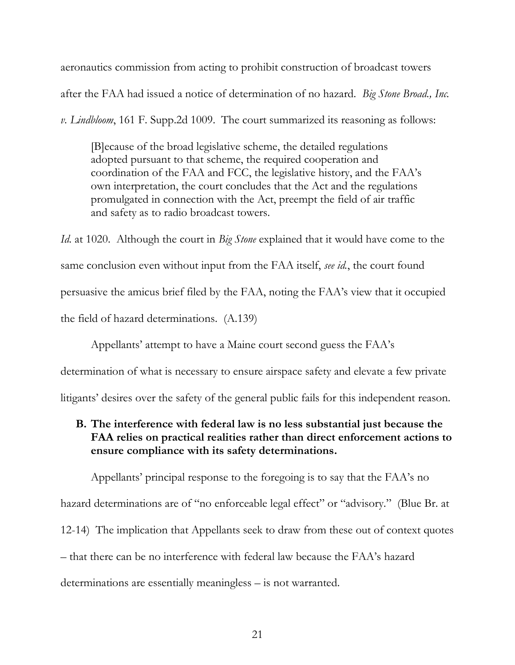aeronautics commission from acting to prohibit construction of broadcast towers after the FAA had issued a notice of determination of no hazard. *Big Stone Broad., Inc. v. Lindbloom*, 161 F. Supp.2d 1009. The court summarized its reasoning as follows:

[B]ecause of the broad legislative scheme, the detailed regulations adopted pursuant to that scheme, the required cooperation and coordination of the FAA and FCC, the legislative history, and the FAA's own interpretation, the court concludes that the Act and the regulations promulgated in connection with the Act, preempt the field of air traffic and safety as to radio broadcast towers.

*Id.* at 1020. Although the court in *Big Stone* explained that it would have come to the same conclusion even without input from the FAA itself, *see id.*, the court found persuasive the amicus brief filed by the FAA, noting the FAA's view that it occupied the field of hazard determinations. (A.139)

Appellants' attempt to have a Maine court second guess the FAA's

determination of what is necessary to ensure airspace safety and elevate a few private

litigants' desires over the safety of the general public fails for this independent reason.

# <span id="page-27-0"></span>**B. The interference with federal law is no less substantial just because the FAA relies on practical realities rather than direct enforcement actions to ensure compliance with its safety determinations.**

Appellants' principal response to the foregoing is to say that the FAA's no hazard determinations are of "no enforceable legal effect" or "advisory." (Blue Br. at 12-14) The implication that Appellants seek to draw from these out of context quotes – that there can be no interference with federal law because the FAA's hazard determinations are essentially meaningless – is not warranted.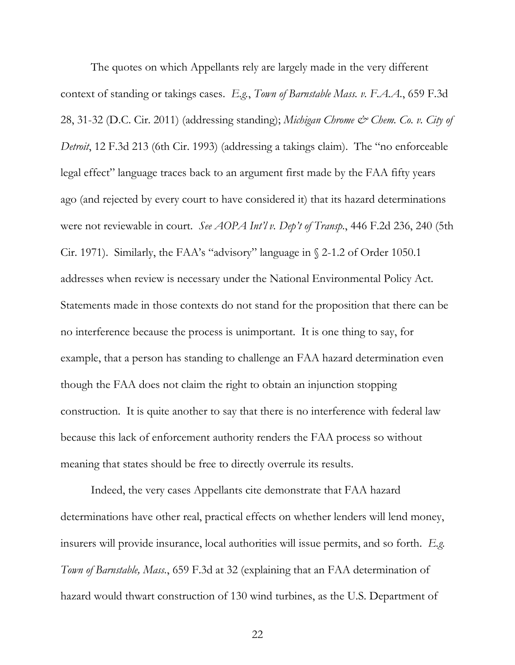The quotes on which Appellants rely are largely made in the very different context of standing or takings cases. *E.g.*, *Town of Barnstable Mass. v. F.A.A.*, 659 F.3d 28, 31-32 (D.C. Cir. 2011) (addressing standing); *Michigan Chrome & Chem. Co. v. City of Detroit*, 12 F.3d 213 (6th Cir. 1993) (addressing a takings claim). The "no enforceable legal effect" language traces back to an argument first made by the FAA fifty years ago (and rejected by every court to have considered it) that its hazard determinations were not reviewable in court. *See AOPA Int'l v. Dep't of Transp.*, 446 F.2d 236, 240 (5th Cir. 1971). Similarly, the FAA's "advisory" language in § 2-1.2 of Order 1050.1 addresses when review is necessary under the National Environmental Policy Act. Statements made in those contexts do not stand for the proposition that there can be no interference because the process is unimportant. It is one thing to say, for example, that a person has standing to challenge an FAA hazard determination even though the FAA does not claim the right to obtain an injunction stopping construction. It is quite another to say that there is no interference with federal law because this lack of enforcement authority renders the FAA process so without meaning that states should be free to directly overrule its results.

Indeed, the very cases Appellants cite demonstrate that FAA hazard determinations have other real, practical effects on whether lenders will lend money, insurers will provide insurance, local authorities will issue permits, and so forth. *E.g. Town of Barnstable, Mass.*, 659 F.3d at 32 (explaining that an FAA determination of hazard would thwart construction of 130 wind turbines, as the U.S. Department of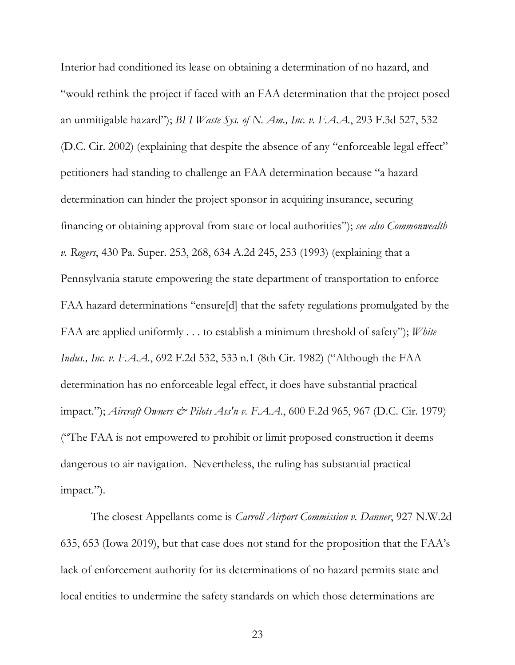Interior had conditioned its lease on obtaining a determination of no hazard, and "would rethink the project if faced with an FAA determination that the project posed an unmitigable hazard"); *BFI Waste Sys. of N. Am., Inc. v. F.A.A.*, 293 F.3d 527, 532 (D.C. Cir. 2002) (explaining that despite the absence of any "enforceable legal effect" petitioners had standing to challenge an FAA determination because "a hazard determination can hinder the project sponsor in acquiring insurance, securing financing or obtaining approval from state or local authorities"); *see also Commonwealth v. Rogers*, 430 Pa. Super. 253, 268, 634 A.2d 245, 253 (1993) (explaining that a Pennsylvania statute empowering the state department of transportation to enforce FAA hazard determinations "ensure[d] that the safety regulations promulgated by the FAA are applied uniformly . . . to establish a minimum threshold of safety"); *White Indus., Inc. v. F.A.A.*, 692 F.2d 532, 533 n.1 (8th Cir. 1982) ("Although the FAA determination has no enforceable legal effect, it does have substantial practical impact."); *Aircraft Owners & Pilots Ass'n v. F.A.A*., 600 F.2d 965, 967 (D.C. Cir. 1979) ("The FAA is not empowered to prohibit or limit proposed construction it deems dangerous to air navigation. Nevertheless, the ruling has substantial practical impact.").

The closest Appellants come is *Carroll Airport Commission v. Danner*, 927 N.W.2d 635, 653 (Iowa 2019), but that case does not stand for the proposition that the FAA's lack of enforcement authority for its determinations of no hazard permits state and local entities to undermine the safety standards on which those determinations are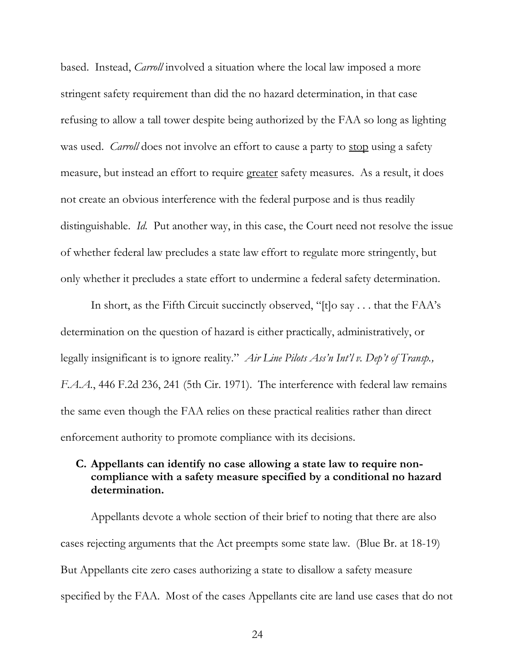based. Instead, *Carroll* involved a situation where the local law imposed a more stringent safety requirement than did the no hazard determination, in that case refusing to allow a tall tower despite being authorized by the FAA so long as lighting was used. *Carroll* does not involve an effort to cause a party to stop using a safety measure, but instead an effort to require greater safety measures. As a result, it does not create an obvious interference with the federal purpose and is thus readily distinguishable. *Id.* Put another way, in this case, the Court need not resolve the issue of whether federal law precludes a state law effort to regulate more stringently, but only whether it precludes a state effort to undermine a federal safety determination.

In short, as the Fifth Circuit succinctly observed, "[t]o say . . . that the FAA's determination on the question of hazard is either practically, administratively, or legally insignificant is to ignore reality." *Air Line Pilots Ass'n Int'l v. Dep't of Transp., F.A.A.*, 446 F.2d 236, 241 (5th Cir. 1971). The interference with federal law remains the same even though the FAA relies on these practical realities rather than direct enforcement authority to promote compliance with its decisions.

# <span id="page-30-0"></span>**C. Appellants can identify no case allowing a state law to require noncompliance with a safety measure specified by a conditional no hazard determination.**

Appellants devote a whole section of their brief to noting that there are also cases rejecting arguments that the Act preempts some state law. (Blue Br. at 18-19) But Appellants cite zero cases authorizing a state to disallow a safety measure specified by the FAA. Most of the cases Appellants cite are land use cases that do not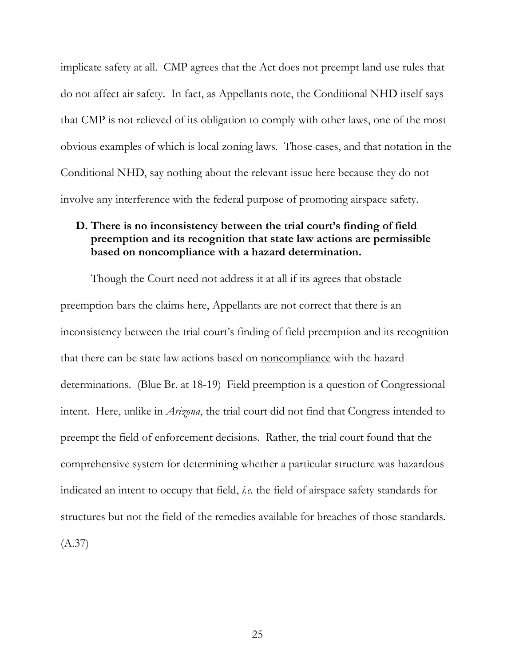implicate safety at all. CMP agrees that the Act does not preempt land use rules that do not affect air safety. In fact, as Appellants note, the Conditional NHD itself says that CMP is not relieved of its obligation to comply with other laws, one of the most obvious examples of which is local zoning laws. Those cases, and that notation in the Conditional NHD, say nothing about the relevant issue here because they do not involve any interference with the federal purpose of promoting airspace safety.

## <span id="page-31-0"></span>**D. There is no inconsistency between the trial court's finding of field preemption and its recognition that state law actions are permissible based on noncompliance with a hazard determination.**

Though the Court need not address it at all if its agrees that obstacle preemption bars the claims here, Appellants are not correct that there is an inconsistency between the trial court's finding of field preemption and its recognition that there can be state law actions based on noncompliance with the hazard determinations. (Blue Br. at 18-19) Field preemption is a question of Congressional intent. Here, unlike in *Arizona*, the trial court did not find that Congress intended to preempt the field of enforcement decisions. Rather, the trial court found that the comprehensive system for determining whether a particular structure was hazardous indicated an intent to occupy that field, *i.e.* the field of airspace safety standards for structures but not the field of the remedies available for breaches of those standards. (A.37)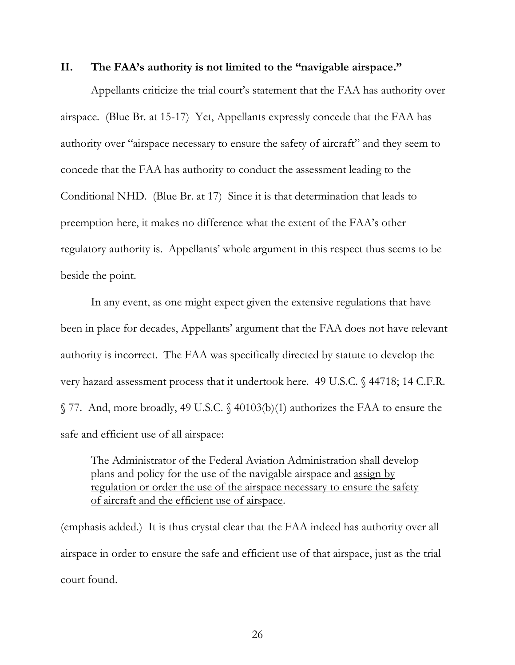#### <span id="page-32-0"></span>**II. The FAA's authority is not limited to the "navigable airspace."**

Appellants criticize the trial court's statement that the FAA has authority over airspace. (Blue Br. at 15-17) Yet, Appellants expressly concede that the FAA has authority over "airspace necessary to ensure the safety of aircraft" and they seem to concede that the FAA has authority to conduct the assessment leading to the Conditional NHD. (Blue Br. at 17) Since it is that determination that leads to preemption here, it makes no difference what the extent of the FAA's other regulatory authority is. Appellants' whole argument in this respect thus seems to be beside the point.

In any event, as one might expect given the extensive regulations that have been in place for decades, Appellants' argument that the FAA does not have relevant authority is incorrect. The FAA was specifically directed by statute to develop the very hazard assessment process that it undertook here. 49 U.S.C. § 44718; 14 C.F.R. § 77. And, more broadly, 49 U.S.C. § 40103(b)(1) authorizes the FAA to ensure the safe and efficient use of all airspace:

The Administrator of the Federal Aviation Administration shall develop plans and policy for the use of the navigable airspace and assign by regulation or order the use of the airspace necessary to ensure the safety of aircraft and the efficient use of airspace.

(emphasis added.) It is thus crystal clear that the FAA indeed has authority over all airspace in order to ensure the safe and efficient use of that airspace, just as the trial court found.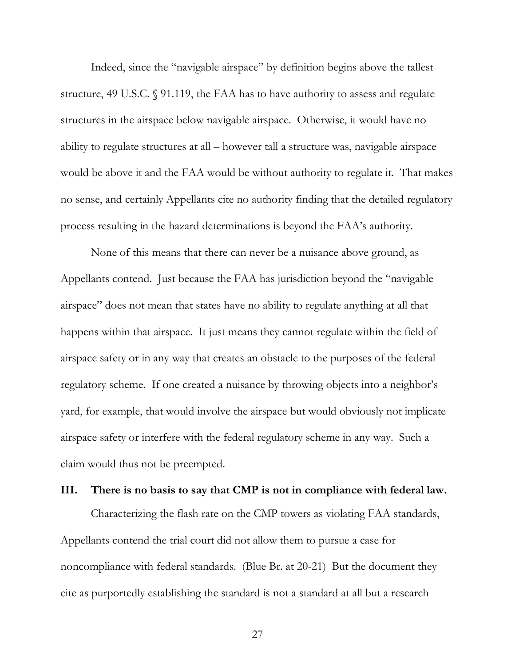Indeed, since the "navigable airspace" by definition begins above the tallest structure, 49 U.S.C. § 91.119, the FAA has to have authority to assess and regulate structures in the airspace below navigable airspace. Otherwise, it would have no ability to regulate structures at all – however tall a structure was, navigable airspace would be above it and the FAA would be without authority to regulate it. That makes no sense, and certainly Appellants cite no authority finding that the detailed regulatory process resulting in the hazard determinations is beyond the FAA's authority.

None of this means that there can never be a nuisance above ground, as Appellants contend. Just because the FAA has jurisdiction beyond the "navigable airspace" does not mean that states have no ability to regulate anything at all that happens within that airspace. It just means they cannot regulate within the field of airspace safety or in any way that creates an obstacle to the purposes of the federal regulatory scheme. If one created a nuisance by throwing objects into a neighbor's yard, for example, that would involve the airspace but would obviously not implicate airspace safety or interfere with the federal regulatory scheme in any way. Such a claim would thus not be preempted.

#### <span id="page-33-0"></span>**III. There is no basis to say that CMP is not in compliance with federal law.**

Characterizing the flash rate on the CMP towers as violating FAA standards, Appellants contend the trial court did not allow them to pursue a case for noncompliance with federal standards. (Blue Br. at 20-21) But the document they cite as purportedly establishing the standard is not a standard at all but a research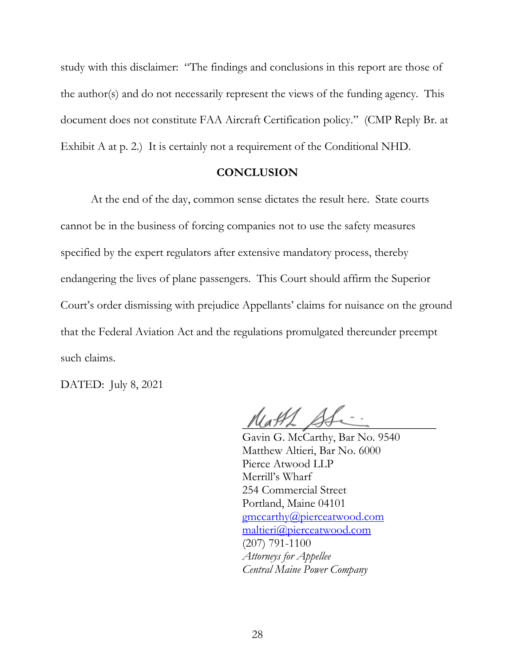study with this disclaimer: "The findings and conclusions in this report are those of the author(s) and do not necessarily represent the views of the funding agency. This document does not constitute FAA Aircraft Certification policy." (CMP Reply Br. at Exhibit A at p. 2.) It is certainly not a requirement of the Conditional NHD.

#### **CONCLUSION**

<span id="page-34-0"></span>At the end of the day, common sense dictates the result here. State courts cannot be in the business of forcing companies not to use the safety measures specified by the expert regulators after extensive mandatory process, thereby endangering the lives of plane passengers. This Court should affirm the Superior Court's order dismissing with prejudice Appellants' claims for nuisance on the ground that the Federal Aviation Act and the regulations promulgated thereunder preempt such claims.

DATED: July 8, 2021

 $\mathcal{U}_a$  A1

Gavin G. McCarthy, Bar No. 9540 Matthew Altieri, Bar No. 6000 Pierce Atwood LLP Merrill's Wharf 254 Commercial Street Portland, Maine 04101 [gmccarthy@pierceatwood.com](mailto:gmccarthy@pierceatwood.com) [maltieri@pierceatwood.com](mailto:maltieri@pierceatwood.com) (207) 791-1100 *Attorneys for Appellee Central Maine Power Company*